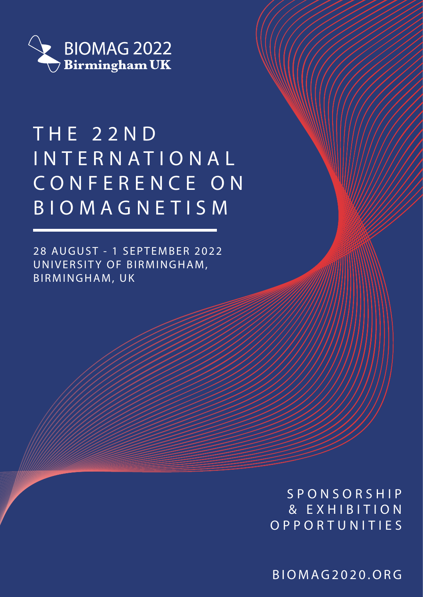

# T H E 2 2 N D INTERNATIONAL CONFERENCE ON BIOMAGNETISM

28 AUGUST - 1 SEPTEMBER 2022 UNIVERSITY OF BIRMINGHAM, BIRMINGHAM, UK

> SPONSORSHIP & EXHIBITION OPPORTUNITIES

BIOMAG2020.ORG